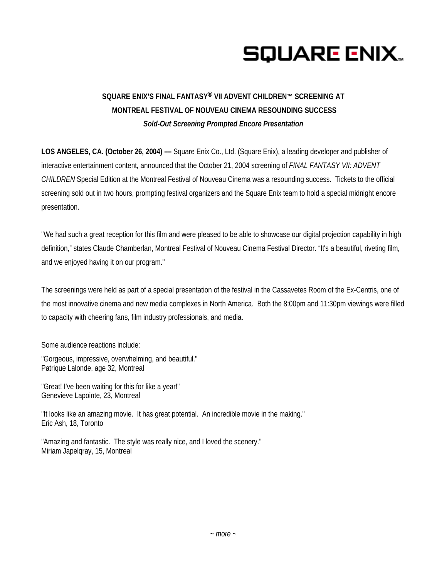# **SQUARE ENIX.**

## **SQUARE ENIX'S FINAL FANTASY® VII ADVENT CHILDREN™ SCREENING AT MONTREAL FESTIVAL OF NOUVEAU CINEMA RESOUNDING SUCCESS**  *Sold-Out Screening Prompted Encore Presentation*

**LOS ANGELES, CA. (October 26, 2004) ––** Square Enix Co., Ltd. (Square Enix), a leading developer and publisher of interactive entertainment content*,* announced that the October 21, 2004 screening of *FINAL FANTASY VII: ADVENT CHILDREN* Special Edition at the Montreal Festival of Nouveau Cinema was a resounding success. Tickets to the official screening sold out in two hours, prompting festival organizers and the Square Enix team to hold a special midnight encore presentation.

"We had such a great reception for this film and were pleased to be able to showcase our digital projection capability in high definition," states Claude Chamberlan, Montreal Festival of Nouveau Cinema Festival Director. "It's a beautiful, riveting film, and we enjoyed having it on our program."

The screenings were held as part of a special presentation of the festival in the Cassavetes Room of the Ex-Centris, one of the most innovative cinema and new media complexes in North America. Both the 8:00pm and 11:30pm viewings were filled to capacity with cheering fans, film industry professionals, and media.

Some audience reactions include:

"Gorgeous, impressive, overwhelming, and beautiful." Patrique Lalonde, age 32, Montreal

"Great! I've been waiting for this for like a year!" Genevieve Lapointe, 23, Montreal

"It looks like an amazing movie. It has great potential. An incredible movie in the making." Eric Ash, 18, Toronto

"Amazing and fantastic. The style was really nice, and I loved the scenery." Miriam Japelqray, 15, Montreal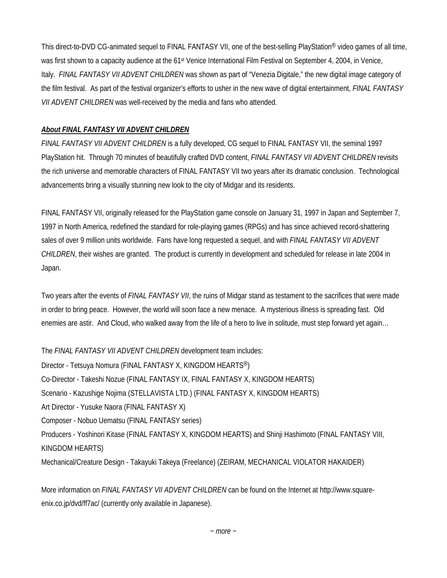This direct-to-DVD CG-animated sequel to FINAL FANTASY VII, one of the best-selling PlayStation® video games of all time, was first shown to a capacity audience at the 61<sup>st</sup> Venice International Film Festival on September 4, 2004, in Venice, Italy. *FINAL FANTASY VII ADVENT CHILDREN* was shown as part of "Venezia Digitale," the new digital image category of the film festival. As part of the festival organizer's efforts to usher in the new wave of digital entertainment, *FINAL FANTASY VII ADVENT CHILDREN* was well-received by the media and fans who attended.

### *About FINAL FANTASY VII ADVENT CHILDREN*

*FINAL FANTASY VII ADVENT CHILDREN* is a fully developed, CG sequel to FINAL FANTASY VII, the seminal 1997 PlayStation hit. Through 70 minutes of beautifully crafted DVD content, *FINAL FANTASY VII ADVENT CHILDREN* revisits the rich universe and memorable characters of FINAL FANTASY VII two years after its dramatic conclusion. Technological advancements bring a visually stunning new look to the city of Midgar and its residents.

FINAL FANTASY VII, originally released for the PlayStation game console on January 31, 1997 in Japan and September 7, 1997 in North America, redefined the standard for role-playing games (RPGs) and has since achieved record-shattering sales of over 9 million units worldwide. Fans have long requested a sequel, and with *FINAL FANTASY VII ADVENT CHILDREN*, their wishes are granted. The product is currently in development and scheduled for release in late 2004 in Japan.

Two years after the events of *FINAL FANTASY VII*, the ruins of Midgar stand as testament to the sacrifices that were made in order to bring peace. However, the world will soon face a new menace. A mysterious illness is spreading fast. Old enemies are astir. And Cloud, who walked away from the life of a hero to live in solitude, must step forward yet again…

The *FINAL FANTASY VII ADVENT CHILDREN* development team includes:

Director - Tetsuya Nomura (FINAL FANTASY X, KINGDOM HEARTS®) Co-Director - Takeshi Nozue (FINAL FANTASY IX, FINAL FANTASY X, KINGDOM HEARTS) Scenario - Kazushige Nojima (STELLAVISTA LTD.) (FINAL FANTASY X, KINGDOM HEARTS) Art Director - Yusuke Naora (FINAL FANTASY X) Composer - Nobuo Uematsu (FINAL FANTASY series) Producers - Yoshinori Kitase (FINAL FANTASY X, KINGDOM HEARTS) and Shinji Hashimoto (FINAL FANTASY VIII, KINGDOM HEARTS) Mechanical/Creature Design - Takayuki Takeya (Freelance) (ZEIRAM, MECHANICAL VIOLATOR HAKAIDER)

More information on *FINAL FANTASY VII ADVENT CHILDREN* can be found on the Internet at http://www.squareenix.co.jp/dvd/ff7ac/ (currently only available in Japanese).